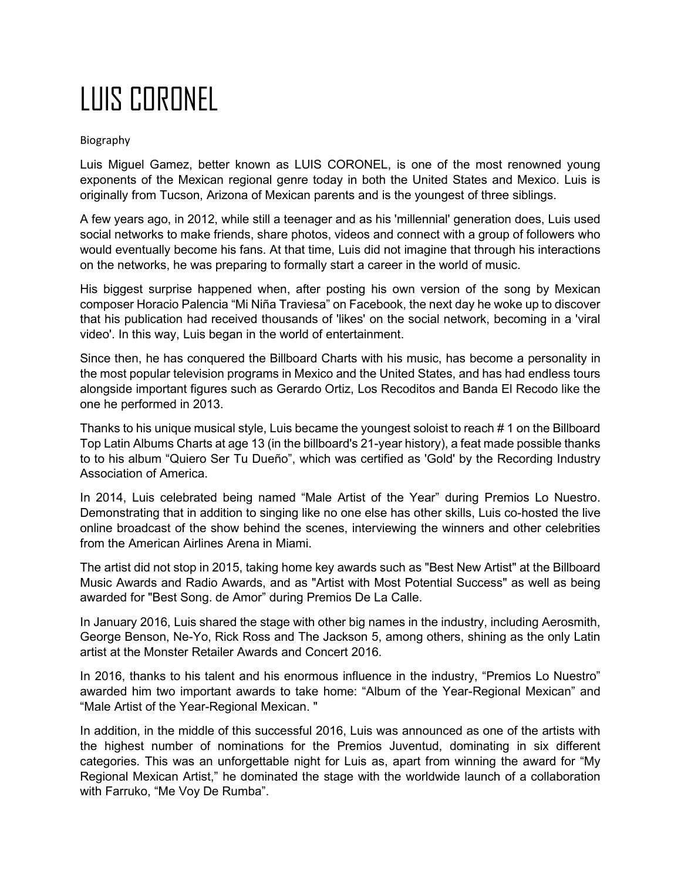## LUIS CORONEL

## Biography

Luis Miguel Gamez, better known as LUIS CORONEL, is one of the most renowned young exponents of the Mexican regional genre today in both the United States and Mexico. Luis is originally from Tucson, Arizona of Mexican parents and is the youngest of three siblings.

A few years ago, in 2012, while still a teenager and as his 'millennial' generation does, Luis used social networks to make friends, share photos, videos and connect with a group of followers who would eventually become his fans. At that time, Luis did not imagine that through his interactions on the networks, he was preparing to formally start a career in the world of music.

His biggest surprise happened when, after posting his own version of the song by Mexican composer Horacio Palencia "Mi Niña Traviesa" on Facebook, the next day he woke up to discover that his publication had received thousands of 'likes' on the social network, becoming in a 'viral video'. In this way, Luis began in the world of entertainment.

Since then, he has conquered the Billboard Charts with his music, has become a personality in the most popular television programs in Mexico and the United States, and has had endless tours alongside important figures such as Gerardo Ortiz, Los Recoditos and Banda El Recodo like the one he performed in 2013.

Thanks to his unique musical style, Luis became the youngest soloist to reach # 1 on the Billboard Top Latin Albums Charts at age 13 (in the billboard's 21-year history), a feat made possible thanks to to his album "Quiero Ser Tu Dueño", which was certified as 'Gold' by the Recording Industry Association of America.

In 2014, Luis celebrated being named "Male Artist of the Year" during Premios Lo Nuestro. Demonstrating that in addition to singing like no one else has other skills, Luis co-hosted the live online broadcast of the show behind the scenes, interviewing the winners and other celebrities from the American Airlines Arena in Miami.

The artist did not stop in 2015, taking home key awards such as "Best New Artist" at the Billboard Music Awards and Radio Awards, and as "Artist with Most Potential Success" as well as being awarded for "Best Song. de Amor" during Premios De La Calle.

In January 2016, Luis shared the stage with other big names in the industry, including Aerosmith, George Benson, Ne-Yo, Rick Ross and The Jackson 5, among others, shining as the only Latin artist at the Monster Retailer Awards and Concert 2016.

In 2016, thanks to his talent and his enormous influence in the industry, "Premios Lo Nuestro" awarded him two important awards to take home: "Album of the Year-Regional Mexican" and "Male Artist of the Year-Regional Mexican. "

In addition, in the middle of this successful 2016, Luis was announced as one of the artists with the highest number of nominations for the Premios Juventud, dominating in six different categories. This was an unforgettable night for Luis as, apart from winning the award for "My Regional Mexican Artist," he dominated the stage with the worldwide launch of a collaboration with Farruko, "Me Voy De Rumba".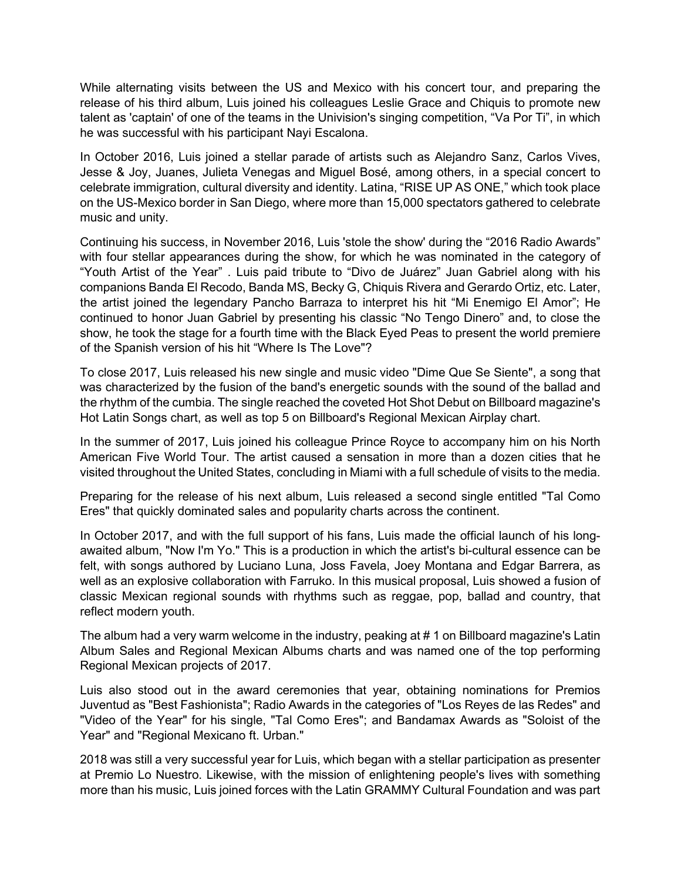While alternating visits between the US and Mexico with his concert tour, and preparing the release of his third album, Luis joined his colleagues Leslie Grace and Chiquis to promote new talent as 'captain' of one of the teams in the Univision's singing competition, "Va Por Ti", in which he was successful with his participant Nayi Escalona.

In October 2016, Luis joined a stellar parade of artists such as Alejandro Sanz, Carlos Vives, Jesse & Joy, Juanes, Julieta Venegas and Miguel Bosé, among others, in a special concert to celebrate immigration, cultural diversity and identity. Latina, "RISE UP AS ONE," which took place on the US-Mexico border in San Diego, where more than 15,000 spectators gathered to celebrate music and unity.

Continuing his success, in November 2016, Luis 'stole the show' during the "2016 Radio Awards" with four stellar appearances during the show, for which he was nominated in the category of "Youth Artist of the Year" . Luis paid tribute to "Divo de Juárez" Juan Gabriel along with his companions Banda El Recodo, Banda MS, Becky G, Chiquis Rivera and Gerardo Ortiz, etc. Later, the artist joined the legendary Pancho Barraza to interpret his hit "Mi Enemigo El Amor"; He continued to honor Juan Gabriel by presenting his classic "No Tengo Dinero" and, to close the show, he took the stage for a fourth time with the Black Eyed Peas to present the world premiere of the Spanish version of his hit "Where Is The Love"?

To close 2017, Luis released his new single and music video "Dime Que Se Siente", a song that was characterized by the fusion of the band's energetic sounds with the sound of the ballad and the rhythm of the cumbia. The single reached the coveted Hot Shot Debut on Billboard magazine's Hot Latin Songs chart, as well as top 5 on Billboard's Regional Mexican Airplay chart.

In the summer of 2017, Luis joined his colleague Prince Royce to accompany him on his North American Five World Tour. The artist caused a sensation in more than a dozen cities that he visited throughout the United States, concluding in Miami with a full schedule of visits to the media.

Preparing for the release of his next album, Luis released a second single entitled "Tal Como Eres" that quickly dominated sales and popularity charts across the continent.

In October 2017, and with the full support of his fans, Luis made the official launch of his longawaited album, "Now I'm Yo." This is a production in which the artist's bi-cultural essence can be felt, with songs authored by Luciano Luna, Joss Favela, Joey Montana and Edgar Barrera, as well as an explosive collaboration with Farruko. In this musical proposal, Luis showed a fusion of classic Mexican regional sounds with rhythms such as reggae, pop, ballad and country, that reflect modern youth.

The album had a very warm welcome in the industry, peaking at # 1 on Billboard magazine's Latin Album Sales and Regional Mexican Albums charts and was named one of the top performing Regional Mexican projects of 2017.

Luis also stood out in the award ceremonies that year, obtaining nominations for Premios Juventud as "Best Fashionista"; Radio Awards in the categories of "Los Reyes de las Redes" and "Video of the Year" for his single, "Tal Como Eres"; and Bandamax Awards as "Soloist of the Year" and "Regional Mexicano ft. Urban."

2018 was still a very successful year for Luis, which began with a stellar participation as presenter at Premio Lo Nuestro. Likewise, with the mission of enlightening people's lives with something more than his music, Luis joined forces with the Latin GRAMMY Cultural Foundation and was part